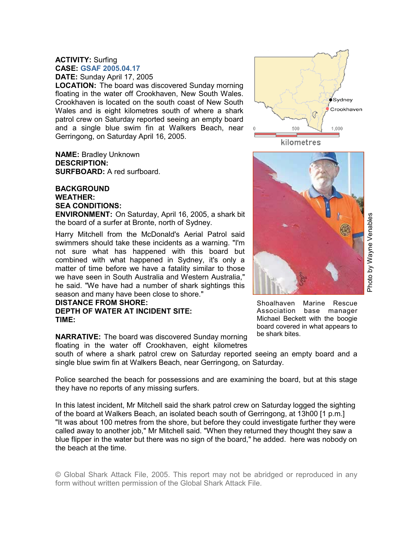## **ACTIVITY:** Surfing **CASE: GSAF 2005.04.17 DATE:** Sunday April 17, 2005

**LOCATION:** The board was discovered Sunday morning floating in the water off Crookhaven, New South Wales. Crookhaven is located on the south coast of New South Wales and is eight kilometres south of where a shark patrol crew on Saturday reported seeing an empty board and a single blue swim fin at Walkers Beach, near Gerringong, on Saturday April 16, 2005.

**NAME:** Bradley Unknown **DESCRIPTION: SURFBOARD:** A red surfboard.

## **BACKGROUND WEATHER: SEA CONDITIONS:**

**ENVIRONMENT:** On Saturday, April 16, 2005, a shark bit the board of a surfer at Bronte, north of Sydney.

Harry Mitchell from the McDonald's Aerial Patrol said swimmers should take these incidents as a warning. "I'm not sure what has happened with this board but combined with what happened in Sydney, it's only a matter of time before we have a fatality similar to those we have seen in South Australia and Western Australia," he said. "We have had a number of shark sightings this season and many have been close to shore."

## **DISTANCE FROM SHORE: DEPTH OF WATER AT INCIDENT SITE: TIME:**

**NARRATIVE:** The board was discovered Sunday morning floating in the water off Crookhaven, eight kilometres

south of where a shark patrol crew on Saturday reported seeing an empty board and a single blue swim fin at Walkers Beach, near Gerringong, on Saturday.

Police searched the beach for possessions and are examining the board, but at this stage they have no reports of any missing surfers.

In this latest incident, Mr Mitchell said the shark patrol crew on Saturday logged the sighting of the board at Walkers Beach, an isolated beach south of Gerringong, at 13h00 [1 p.m.] "It was about 100 metres from the shore, but before they could investigate further they were called away to another job," Mr Mitchell said. "When they returned they thought they saw a blue flipper in the water but there was no sign of the board," he added. here was nobody on the beach at the time.

© Global Shark Attack File, 2005. This report may not be abridged or reproduced in any form without written permission of the Global Shark Attack File.





Photo by Wayne Venables Photo by Wayne Venables

Shoalhaven Marine Rescue Association base manager Michael Beckett with the boogie board covered in what appears to be shark bites.